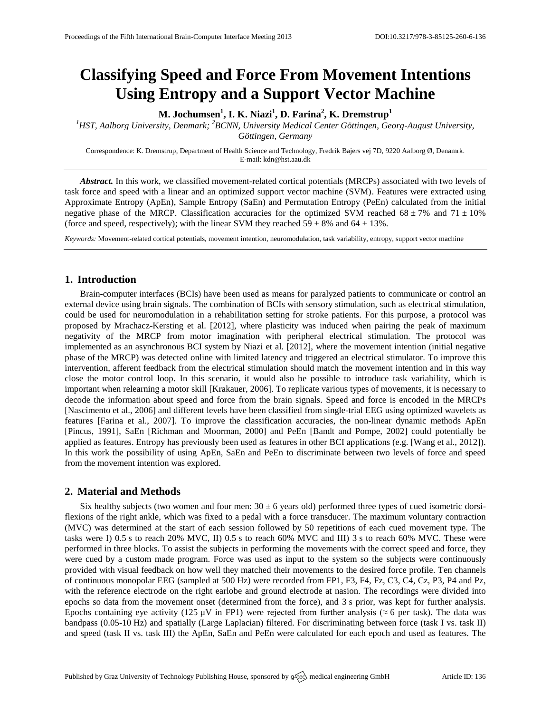# **Classifying Speed and Force From Movement Intentions Using Entropy and a Support Vector Machine**

**M. Jochumsen<sup>1</sup> , I. K. Niazi<sup>1</sup> , D. Farina<sup>2</sup> , K. Dremstrup<sup>1</sup>**

<sup>1</sup>HST, Aalborg University, Denmark; <sup>2</sup>BCNN, University Medical Center Göttingen, Georg-August University, *Göttingen, Germany*

Correspondence: K. Dremstrup, Department of Health Science and Technology, Fredrik Bajers vej 7D, 9220 Aalborg Ø, Denamrk. E-mail[: kdn@hst.aau.dk](mailto:kdn@hst.aau.dk)

*Abstract.* In this work, we classified movement-related cortical potentials (MRCPs) associated with two levels of task force and speed with a linear and an optimized support vector machine (SVM). Features were extracted using Approximate Entropy (ApEn), Sample Entropy (SaEn) and Permutation Entropy (PeEn) calculated from the initial negative phase of the MRCP. Classification accuracies for the optimized SVM reached  $68 \pm 7\%$  and  $71 \pm 10\%$ (force and speed, respectively); with the linear SVM they reached  $59 \pm 8\%$  and  $64 \pm 13\%$ .

*Keywords:* Movement-related cortical potentials, movement intention, neuromodulation, task variability, entropy, support vector machine

## **1. Introduction**

Brain-computer interfaces (BCIs) have been used as means for paralyzed patients to communicate or control an external device using brain signals. The combination of BCIs with sensory stimulation, such as electrical stimulation, could be used for neuromodulation in a rehabilitation setting for stroke patients. For this purpose, a protocol was proposed by Mrachacz-Kersting et al. [2012], where plasticity was induced when pairing the peak of maximum negativity of the MRCP from motor imagination with peripheral electrical stimulation. The protocol was implemented as an asynchronous BCI system by Niazi et al. [2012], where the movement intention (initial negative phase of the MRCP) was detected online with limited latency and triggered an electrical stimulator. To improve this intervention, afferent feedback from the electrical stimulation should match the movement intention and in this way close the motor control loop. In this scenario, it would also be possible to introduce task variability, which is important when relearning a motor skill [Krakauer, 2006]. To replicate various types of movements, it is necessary to decode the information about speed and force from the brain signals. Speed and force is encoded in the MRCPs [Nascimento et al., 2006] and different levels have been classified from single-trial EEG using optimized wavelets as features [Farina et al., 2007]. To improve the classification accuracies, the non-linear dynamic methods ApEn [Pincus, 1991], SaEn [Richman and Moorman, 2000] and PeEn [Bandt and Pompe, 2002] could potentially be applied as features. Entropy has previously been used as features in other BCI applications (e.g. [Wang et al., 2012]). In this work the possibility of using ApEn, SaEn and PeEn to discriminate between two levels of force and speed from the movement intention was explored.

## **2. Material and Methods**

Six healthy subjects (two women and four men:  $30 \pm 6$  years old) performed three types of cued isometric dorsiflexions of the right ankle, which was fixed to a pedal with a force transducer. The maximum voluntary contraction (MVC) was determined at the start of each session followed by 50 repetitions of each cued movement type. The tasks were I) 0.5 s to reach 20% MVC, II) 0.5 s to reach 60% MVC and III) 3 s to reach 60% MVC. These were performed in three blocks. To assist the subjects in performing the movements with the correct speed and force, they were cued by a custom made program. Force was used as input to the system so the subjects were continuously provided with visual feedback on how well they matched their movements to the desired force profile. Ten channels of continuous monopolar EEG (sampled at 500 Hz) were recorded from FP1, F3, F4, Fz, C3, C4, Cz, P3, P4 and Pz, with the reference electrode on the right earlobe and ground electrode at nasion. The recordings were divided into epochs so data from the movement onset (determined from the force), and 3 s prior, was kept for further analysis. Epochs containing eye activity (125  $\mu$ V in FP1) were rejected from further analysis ( $\approx$  6 per task). The data was bandpass (0.05-10 Hz) and spatially (Large Laplacian) filtered. For discriminating between force (task I vs. task II) and speed (task II vs. task III) the ApEn, SaEn and PeEn were calculated for each epoch and used as features. The